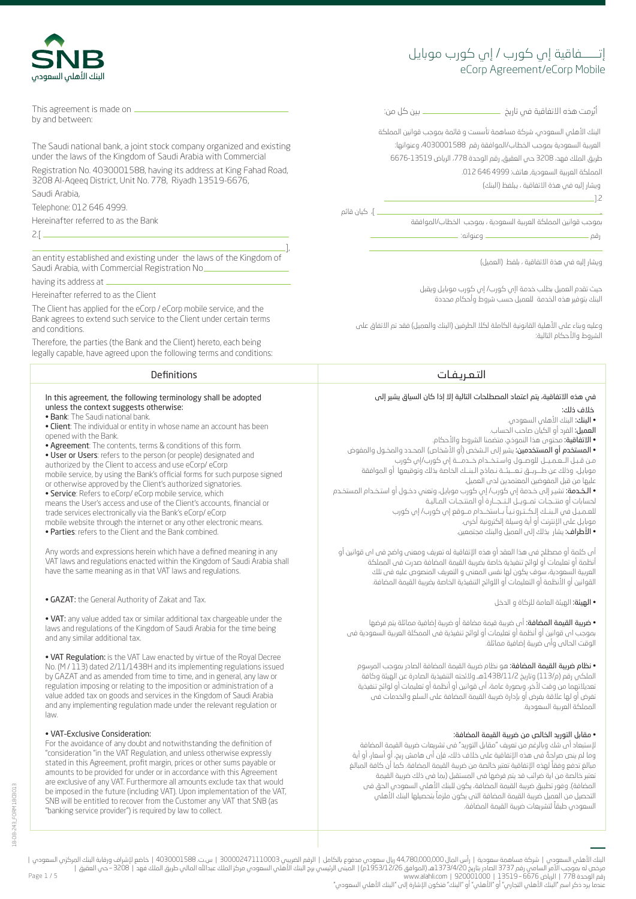# eCorp Agreement/eCorp Mobile إتــــــفاقية إي كورب موبايل

ُرمت هذه الاتفاقية في تا��خ ....................................................... �ين كل من: أب البنك الأهلي السعودي، شركة مساهمة تأسست و قائمة بموجب قوانين المملكة العربية السعودية بموجب الخطاب/الموافقة رقم 1030001588، وعنوانها: طريق الملك فهد، 3208 حي العقيق, رقم الوحدة 778، الرياض 13519-6676 المملكة العربية السعودية, هاتف: 4999 646 012.

ويشار إليه في هذة الاتفاقية ، �بلفظ (البنك)

........................................................................................................................................................................].2

ـ ]، كيان قائم

بموجب قوانين المملكة العربية السعودية ، بموجب الخطاب/الموافقة رقم ................................................................................... وعنوانه: .......................................................................

ويشار إليه في هذة الاتفاقية ، بلفط (العميل)

حيث تقدم العميل بطلب خدمة اإي كورب/ إي كورب موبا�ل ويقبل البنك بتوفير هذه الخدمة للعميل حسب ش�وط وأحكام محددة

وعليه وبناء على الأهلية القانونية الكاملة لكلا الطرفين (البنك والعميل) فقد تم الاتفاق على الش�وط والأحكام التالية:

.........................................................................................................................................................................................

# التـعـ��ـفـات Definitions

# في هذه الاتفاقية، يتم اعتماد المصطلحات التالية إلا إذا كان السياق يشير إلى خلاف ذلك:

• البنك: البنك الأهلي السعودي. العميل: الفرد أو الكيان صاحب الحساب. • الاتفاقية: محتوى هذا النموذج، متضمنا الش�وط والأحكام. • المستخدم أو المستخدمين: يشير إلى الـشخص (أو الأشخاص) المحـدد والمخـول والمفوض مـن قـبـل الــعـمـيــل للوصــول واسـتـخــدام خــدمـــة إي كورب/إي كورب موبايل، وذلك عن طـــريــق تـعـــبئــة نـماذج الـبنــك الخاصة بذلك وتوقيعها أو الموافقة عليها من قبل المفوضين المعتمدين لدى العميل. • الـخـدمة: تشيـر إلى خـدمة إي كورب/ إي كورب موبا�ل، وتعني دخـول أو استـخـدام المستخـدم لحسابات أو منتــجـات تمــويــل الـتــجــارة أو المنتـجـات المـاليـة ً للعـمـيـل في الـبنــك إلـكــتـ�ونـيـا بــاستخــدام مــوقع إي كورب/ إي كورب موبايل على الإنترنت أو أية وسيلة إلكترونية أخرى. • الأط�اف: يشار بذلك إلى العميل والبنك مجتمعين.

ام كلمة او مصطلح فى هذا العقد او هذه الإتفاقية له تعريف ومعنى واضح فى اى قوانين او أنظمة أو تعليمات أو لوائح تنفيذية خاصة بضريبة القيمة المضاضة صدرت فى المملكة العربية السعودية، سوف يكون لها نفس المعنى و التعريف المنصوص عليه فى تلك القوانين أو الأنظمة أو التعليمات أو اللوائح التنفيذية الخاصة بض��بة القيمة المضافة.

• الهيئة: الهيئة العامة للزكاة و الدخل

• ضريبة القيمة المضافة: أى ضريبة قيمة مضافة أو ضريبة إضافية مماثلة يتم فرضها بموجب اى قوانين أو أنظمة أو تعليمات أو لوائح تنفيذية فى الممكلة العربية السعودية فى الوقت الحالى وأى ض��بة إضافية مما�لة.

• نظام ضريبة القيمة المضافة: هو نظام ضريبة القيمة المضافة الصادر بموجب المرسوم الملكي رقم (م/113) وتاريخ 1438/11/2هـ ولائحته التنفيذية الصادرة عن الهيئة وكافة تعديلاتهما من وقت لأخر، وبصورة عامة، أى قوانين أو أنظمة أو تعليمات أو لوائح �نفيذية .<br>تفرض أو لها علاقة بفرض أو بإدارة ضريبة القيمة المضافة على السلع والخدمات فى المملكة العر�ية السعودية.

## • مقابل التوريد الخالص من ضريبة القيمة المضافة:

لإستبعاد أى شك وبالرغم من تعريف "مقابل التوريد" فى تشريعات ضريبة القيمة المضافة ً وما لم ينص ص�احة فى هذه الإتفاقية على خلاف ذلك، فإن أى هامش ربح، أو أسعار، أو أية ً مبالغ تدفع وفقا لهذه الإتفاقية تعتبر خالصة من ض��بة القيمة المضافة. كما أن كافة المبالغ تعتبر خالصة من اية ضرائب قد يتم فرضها فى المستقبل (بما فى ذلك ضريبة القيمة المضافة). وفور تطبيق ضريبة القيمة المضافة، يكون للبنك الأهلى السعودي الحق فى ً التحصيل من العميل ض��بة القيمة المضافة التى يكون ملزما بتحصيلها البنك الأهلي السعودي طبقاً لتشريعات ضريبة القيمة المضافة.



This agreement is made on ...... by and between:

The Saudi national bank, a joint stock company organized and existing under the laws of the Kingdom of Saudi Arabia with Commercial

Registration No. 4030001588, having its address at King Fahad Road, 3208 Al-Aqeeq District, Unit No. 778, Riyadh 13519-6676, Saudi Arabia,

Telephone: 012 646 4999.

Hereinafter referred to as the Bank

2.[ ............................................................................................................................................................................

.................................................................................................................................................................................], an entity established and existing under the laws of the Kingdom of Saudi Arabia, with Commercial Registration No\_

having its address at .

Hereinafter referred to as the Client

The Client has applied for the eCorp / eCorp mobile service, and the Bank agrees to extend such service to the Client under certain terms and conditions.

Therefore, the parties (the Bank and the Client) hereto, each being legally capable, have agreed upon the following terms and conditions:

#### In this agreement, the following terminology shall be adopted unless the context suggests otherwise:

- Bank: The Saudi national bank.
- Client: The individual or entity in whose name an account has been opened with the Bank.
- Agreement: The contents, terms & conditions of this form.
- User or Users: refers to the person (or people) designated and authorized by the Client to access and use eCorp/ eCorp mobile service, by using the Bank's official forms for such purpose signed
- or otherwise approved by the Client's authorized signatories. • Service: Refers to eCorp/ eCorp mobile service, which
- means the User's access and use of the Client's accounts, financial or trade services electronically via the Bank's eCorp/ eCorp mobile website through the internet or any other electronic means.
- Parties: refers to the Client and the Bank combined.

Any words and expressions herein which have a defined meaning in any VAT laws and regulations enacted within the Kingdom of Saudi Arabia shall have the same meaning as in that VAT laws and regulations.

• GAZAT: the General Authority of Zakat and Tax.

• VAT: any value added tax or similar additional tax chargeable under the laws and regulations of the Kingdom of Saudi Arabia for the time being and any similar additional tax.

• VAT Regulation: is the VAT Law enacted by virtue of the Royal Decree No. (M / 113) dated 2/11/1438H and its implementing regulations issued by GAZAT and as amended from time to time, and in general, any law or regulation imposing or relating to the imposition or administration of a value added tax on goods and services in the Kingdom of Saudi Arabia and any implementing regulation made under the relevant regulation or law.

## • VAT–Exclusive Consideration:

For the avoidance of any doubt and notwithstanding the definition of "consideration "in the VAT Regulation, and unless otherwise expressly stated in this Agreement, profit margin, prices or other sums payable or amounts to be provided for under or in accordance with this Agreement are exclusive of any VAT. Furthermore all amounts exclude tax that would be imposed in the future (including VAT). Upon implementation of the VAT, SNB will be entitled to recover from the Customer any VAT that SNB (as "banking service provider") is required by law to collect.

Page 1 / 5 البنك الأملي السعودي | شركة مساهمة سعودية | رأس المال 44,780,000,000 إلكام المراس 1300002471110003 | ست 14030001588 | خاضع لإشراف ورقابة البنك المركزي السعودي |<br>مرخص له بموجب الأمر المساهري (2001000 إ2373/420م) | المبنى ا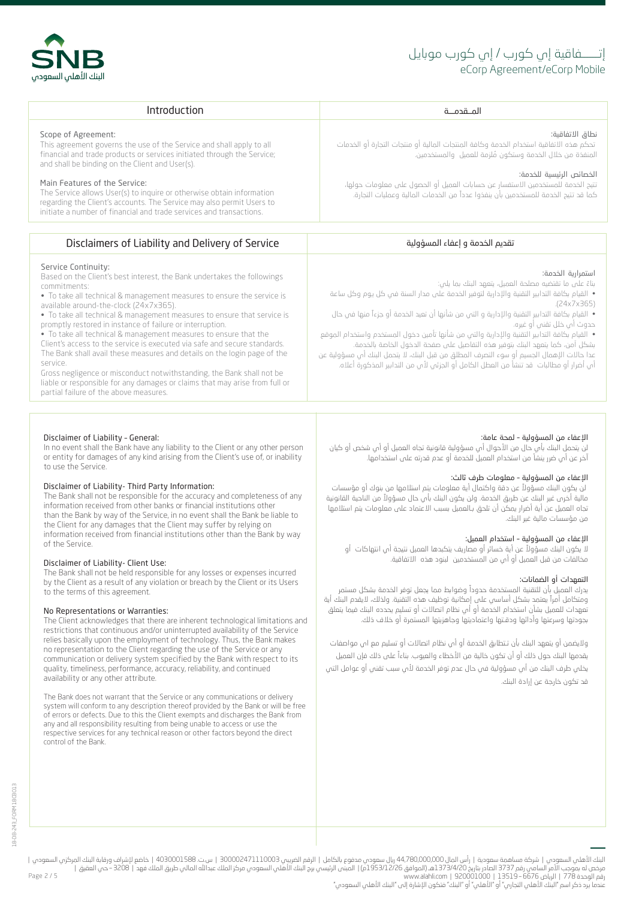# eCorp Agreement/eCorp Mobile إتــــــفاقية إي كورب / إي كورب موبايل

الإعفاء من المسؤولية – لمحة عامة:

استمرارية الخدمة:

حدوث أي خلل تقني أو غيره.

.(24x7x365)

من مؤسسات مالية غير البنك.

التعهدات أو الضمانات:

قد تكون خارجة عن إرادة البنك.

الإعفاء من المسؤولية – معلومات طرف ثالث:

بناءً على ما تقتضيه مصلحة العميل، يتعهد البنك بما يلي:

الإعفاء من المسؤولية – استخدام العميل:

لن يتحمل البنك بأي حال من الأحوال أي مسؤولية قانونية تجاه العميل أو أي شخص أو كيان

• القيام بكافة التدا�ير التقنية والإدا��ة لتوفير الخدمة على مدار السنة في كل �وم وكل ساعة

ً • القيام بكافة التدا�ير التقنية والإدا��ة و التي من شأنها أن تعيد الخدمة أو جزءا منها في حال

• القيام بكافة التدا�ير التقنية والإدا��ة والتي من شأنها تأمين دخول المستخدم واستخدام الموقع َ بشكل امن، كما يتعهد البنك بتوفير هذه التفاصيل على صفحة الدخول الخاصة بالخدمة. عدا حالات الإهمال الجسيم أو سوء التصرف المطلق من قبل البنك، لا يتحمل البنك أي مسؤولية عن أب أضرار أو مطالبات قد تنشأ من العطل الكامل أو الجزئب لأبي من التدابير المذكورة أعلاه.

ً لن يكون البنك مسؤولا عن دقة واكتمال أية معلومات يتم استلامها من بنوك أو مؤسسات مالية أخرى غير البنك عن طريق الخدمة. ولن يكون البنك بأي حال مسؤولاً من الناحية القانونية تجاه العميل عن أية أضرار يمكن أن تلحق بـالعميل بسبب الاعتماد على معلومات يتم استلامها

ً لا يكون البنك مسؤولا عن أية خسائر أو مصا��ف يتكبدها العميل �تيجة أي ا�تهاكات أو

ً يدرك العميل بأن للتقنية المستخدمة حدودا وضوابط مما يجعل توفر الخدمة بشكل مستمر ً ومتكامل أم�ا يعتمد بشكل أساسي على إمكانية توظيف هذه التقنية. ولذلك، لايقدم البنك أية تعهدات للعميل بشأن استخدام الخحمة أو أى نظام اتصالات أو تسليم يحدده البنك فيما يتعلق بجودتها وسرعتها وأدائها ودقـتها واعتماديتها وجاهزيتها المستمرة أو خلاف ذلك.

ولايضمن أو يتعهد البنك بأن تـتطابق الخدمة أو أي نظام ا�صالات أو تسليم مع اي مواصفات ً يقدمها البنك حول ذلك أو أن تكون خالية من الأخطاء والعيوب. بناءا على ذلك فإن العميل يخلي طرف البنك من أي مسؤولية في حال عدم توفر الخدمة لأي سبب تقني أو عوامل التي

مخالفات من قبل العميل أو أي من المستخدمين لبنود هذه الاتفاقية.

آخر عن أبي ضرر ينشأ من استخدام العميل للخدمة أو عدم قدرته على استخدامها.



| Introduction                                                                                                                                                                                                                                                                                                                                                                                                                                                                        |                                                                                                                                                                                                                                                                                                                                                                           |
|-------------------------------------------------------------------------------------------------------------------------------------------------------------------------------------------------------------------------------------------------------------------------------------------------------------------------------------------------------------------------------------------------------------------------------------------------------------------------------------|---------------------------------------------------------------------------------------------------------------------------------------------------------------------------------------------------------------------------------------------------------------------------------------------------------------------------------------------------------------------------|
| Scope of Agreement:<br>This agreement governs the use of the Service and shall apply to all<br>financial and trade products or services initiated through the Service;<br>and shall be binding on the Client and User(s).<br>Main Features of the Service:<br>The Service allows User(s) to inquire or otherwise obtain information<br>regarding the Client's accounts. The Service may also permit Users to<br>initiate a number of financial and trade services and transactions. | نطاق الاتفاقية:<br>- تحكم هذه الاتفاقية استخدام الخدمة وكافة المنتجات المالية أو منتجات التجارة أو الخدمات<br>المنفخة من خلال الخدمة وستكون مُلزمة للعميل والمستخدمين.<br>الخصائص الرئىسة للخدمة:<br>تتيح الخدمة للمستخدمين الاستفسار عن حسابات العميل أو الحصول على معلومات حولها،<br>كما قد تتبح الخدمة للمستخدمين بأن ينفذوا عدداً من الخدمات المالية وعمليات التجارة. |
|                                                                                                                                                                                                                                                                                                                                                                                                                                                                                     |                                                                                                                                                                                                                                                                                                                                                                           |
| Disclaimers of Liability and Delivery of Service                                                                                                                                                                                                                                                                                                                                                                                                                                    | تقدىم الخدمة و إعفاء المسؤولية                                                                                                                                                                                                                                                                                                                                            |
|                                                                                                                                                                                                                                                                                                                                                                                                                                                                                     |                                                                                                                                                                                                                                                                                                                                                                           |

# Service Continuity:

Based on the Client's best interest, the Bank undertakes the followings commitments:

• To take all technical & management measures to ensure the service is available around-the-clock (24x7x365).

• To take all technical & management measures to ensure that service is promptly restored in instance of failure or interruption.

• To take all technical & management measures to ensure that the

Client's access to the service is executed via safe and secure standards. The Bank shall avail these measures and details on the login page of the service.

Gross negligence or misconduct notwithstanding, the Bank shall not be liable or responsible for any damages or claims that may arise from full or partial failure of the above measures.

### Disclaimer of Liability – General:

In no event shall the Bank have any liability to the Client or any other person or entity for damages of any kind arising from the Client's use of, or inability to use the Service.

### Disclaimer of Liability- Third Party Information:

The Bank shall not be responsible for the accuracy and completeness of any information received from other banks or financial institutions other than the Bank by way of the Service, in no event shall the Bank be liable to the Client for any damages that the Client may suffer by relying on information received from financial institutions other than the Bank by way of the Service.

#### Disclaimer of Liability- Client Use:

The Bank shall not be held responsible for any losses or expenses incurred by the Client as a result of any violation or breach by the Client or its Users to the terms of this agreement.

#### No Representations or Warranties:

The Client acknowledges that there are inherent technological limitations and restrictions that continuous and/or uninterrupted availability of the Service relies basically upon the employment of technology. Thus, the Bank makes no representation to the Client regarding the use of the Service or any communication or delivery system specified by the Bank with respect to its quality, timeliness, performance, accuracy, reliability, and continued availability or any other attribute.

The Bank does not warrant that the Service or any communications or delivery system will conform to any description thereof provided by the Bank or will be free of errors or defects. Due to this the Client exempts and discharges the Bank from any and all responsibility resulting from being unable to access or use the respective services for any technical reason or other factors beyond the direct control of the Bank.

البنك الأملي السعودي | شركة مساهمة سعودية | رأس المال 44,780,000,000 إلكام المراس 300002471110003 | ست 4030001588 | خاضع لإشراف ورقابة البنك المركزي السعودي |<br>مرخص له بموجب الأمر المساهري (2001000 إ2373/420م) | المبنى الر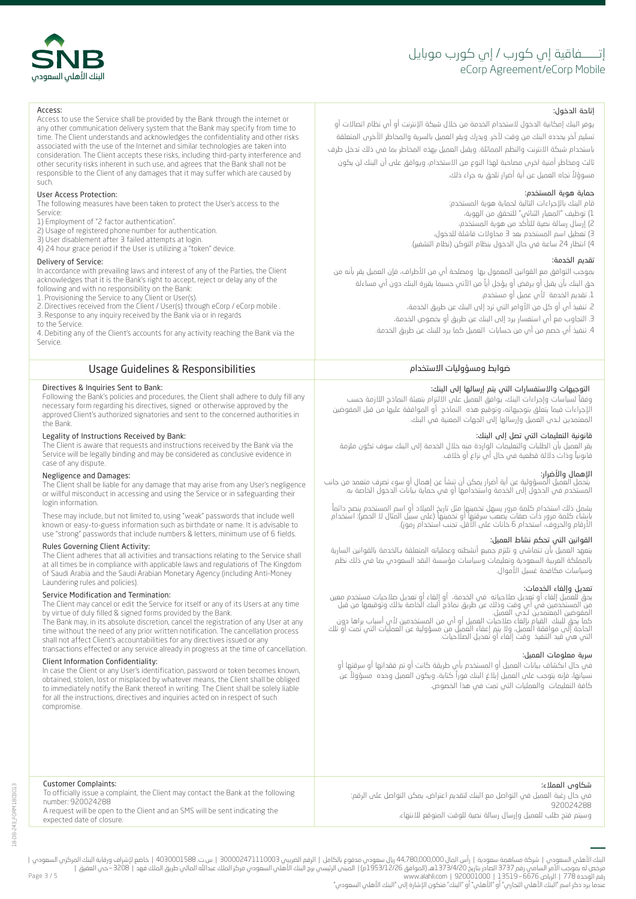# eCorp Agreement/eCorp Mobile إتــــــفاقية إي كورب / إي كورب موبايل

ً مسوؤلا تجاه العميل عن أية أض�ار تلحق به ج�اء ذلك.

قام البنك بالإج�اءات التالية لحماية هوية المستخدم: ) توظيف "المعيار الثنائي" للتحقق من الهوية، ) إرسال رسالة نصية للتأكد من هوية المستخدم، ) تعطيل اسم المستخدم بعد 3 محاولات فاشلة للدخول، ) ا�تظار 24 ساعة في حال الدخول بنظام التوكن (نظام التشفير).

يوفر البنك إمكانية الدخول لاستخدام الخدمة من خلال شبكة الإنترنت أو أي نظام اتصالات أو تسليم آخر يحدده البنك من وقت لآخر. ويدرك ويقر العميل بالسرية والمخاطر الأخرى المتعلقة باستخدام شبكة الانترنت والنظم المماثلة. ويقبل العميل بهذه المخاطر بما في ذلك تدخل طرف ثالث ومخاطر أمنية اخرى مصاحبة لهذا النوع من الاستخدام، و�وافق على أن البنك لن يكون

إ�احة الدخول:

حماية هوية المستخدم:

تقديم الخدمة:

التوجيهات والاستفسارات التي يتم إرسالها إلى البنك:

ً قانونيا وذات دلالة قطعية في حال أي ن�اع أو خلاف.

قانونية التعليمات التي تصل إلى البنك:

.1 تقديم الخدمة لأي عميل أو مستخدم.

القوانين التي تحكم نشاط العميل:

وسياسات مكافحة غسيل الأموال.

تعديل وإلغاء الخدمات:

سرية معلومات العميل:

المعتمد�ن لـدى العميل وإرسالها إلى الجهات المعنية في البنك.

2. تنفيذ أبي أو كل من الأوامر التي ترد إلى البنك عن طريق الخدمة، 3. التجاوب مع أي استفسار يرد إلى البنك عن طريق أو بخصوص الخدمة، 4. تنفيذ أي خصم من أي من حسابات العميل كما يرد للبنك عن طريق الخدمة.

وفقاً لسياسات وإجراءات البنك، يوافق العميل على الالتزام بتعبئة النماذج اللازمة حسب الإج�اءات فيما يتعلق بتوجيها�ه، وتوقيع هذه النماذج أو الموافقة عليها من قبل المفوضين

ضوابط ومسؤوليات الاستخدام

بموجب التوافق مع القوانين المعمول بها ۖ ومصلحة أبي من الأطراف، فإن العميل يقر بأنه من حق البنك بأن يقبل أو يرفض أو يؤجل أياً من الآتى حسبما يقررة البنك دون أي مساءلة

يقر العميل بأن الطلبات والتعليمات الواردة منه خلال الخدمة إلى البنك سوف تكون ملزمة

ا**لإهمال والآضرار:**<br>يتحمل العميل المسؤولية عن أية أضرار يمكن أن تنشأ عن إهمال أو سوء تصرف متعمد من جانب<br>المستخدم في الدخول إلى الخدمة واستخدامها أو في حماية بيانات الدخول الخاصة به.

یشمل ذلك استخدام كلمة مرور یسهل تخمینها مثل تاریخ المیلاد أو اسم المستخدم ینصح دائما<br>بانشاء كلمة مرور ذات صفات یصعب سرقتها أو تخمینها (علی سبیل المثال لا الحصر): استخدام<br>الأرقام والحروف، استخدام 6 خانات علی الأقل، تجنب اس

يتعهد العميل بأن تتماشى و تلتزم جميع أنشطته وعملياته المتعلقة بـالخدمة بالقوانين السارية بالمملكة العر�ية السعودية وتعليمات وسياسات مؤسسة النقد السعودي بما في ذلك نظم

يحق للعميل إلغاء أو تعديل صلاحياته في الخدمة، أو إلغاء أو تعديل صلاحيات مستخدم معين<br>من المستخدمين في أي وقت وذلك عن طريق نماذج ألبنك الخاصة بذلك وتوقيعها من قبل

المفوضين الممتمحين لــدّــن العميل.<br>كما يحق للبنك القيام بإلغاء صلحيات العميل أو أبي من المستخدمين لأبي أسباب يراها حون<br>الحاجة إلى موافقة المميل، ولا يتم إعفاء العميل من مسؤولية عن العمليات التي تمت أو تلك<br>التى هى قيد الت

في حال انكشاف بيانات العميل أو المستخدم بأي طريقة كانت أو تم فقدانها أو سرقتها أو ً نسيانها، فإنه يتوجب على العميل إبلاغ البنك فو�ا ً كتابة، ويكون العميل وحده مسؤولا عن

كافة التعليمات والعمليات التي تمت في هذا الخصوص.



#### Access:

Access to use the Service shall be provided by the Bank through the internet or any other communication delivery system that the Bank may specify from time to time. The Client understands and acknowledges the confidentiality and other risks associated with the use of the Internet and similar technologies are taken into consideration. The Client accepts these risks, including third-party interference and other security risks inherent in such use, and agrees that the Bank shall not be responsible to the Client of any damages that it may suffer which are caused by such.

#### User Access Protection:

The following measures have been taken to protect the User's access to the Service:

- 1) Employment of "2 factor authentication".
- 2) Usage of registered phone number for authentication.
- 3) User disablement after 3 failed attempts at login.
- 4) 24 hour grace period if the User is utilizing a "token" device.

#### Delivery of Service:

In accordance with prevailing laws and interest of any of the Parties, the Client acknowledges that it is the Bank's right to accept, reject or delay any of the following and with no responsibility on the Bank:

- 1. Provisioning the Service to any Client or User(s).
- 2. Directives received from the Client / User(s) through eCorp / eCorp mobile . 3. Response to any inquiry received by the Bank via or in regards
- to the Service.

4. Debiting any of the Client's accounts for any activity reaching the Bank via the Service.

# Usage Guidelines & Responsibilities

#### Directives & Inquiries Sent to Bank:

Following the Bank's policies and procedures, the Client shall adhere to duly fill any necessary form regarding his directives, signed or otherwise approved by the approved Client's authorized signatories and sent to the concerned authorities in the Bank.

#### Legality of Instructions Received by Bank:

The Client is aware that requests and instructions received by the Bank via the Service will be legally binding and may be considered as conclusive evidence in case of any dispute.

#### Negligence and Damages:

The Client shall be liable for any damage that may arise from any User's negligence or willful misconduct in accessing and using the Service or in safeguarding their login information.

These may include, but not limited to, using "weak" passwords that include well known or easy-to-guess information such as birthdate or name. It is advisable to use "strong" passwords that include numbers & letters, minimum use of 6 fields.

#### Rules Governing Client Activity:

The Client adheres that all activities and transactions relating to the Service shall at all times be in compliance with applicable laws and regulations of The Kingdom of Saudi Arabia and the Saudi Arabian Monetary Agency (including Anti-Money Laundering rules and policies).

# Service Modification and Termination:

The Client may cancel or edit the Service for itself or any of its Users at any time by virtue of duly filled & signed forms provided by the Bank.

The Bank may, in its absolute discretion, cancel the registration of any User at any time without the need of any prior written notification. The cancellation process shall not affect Client's accountabilities for any directives issued or any

transactions effected or any service already in progress at the time of cancellation.

## Client Information Confidentiality:

Customer Complaints:

number: 920024288

In case the Client or any User's identification, password or token becomes known, obtained, stolen, lost or misplaced by whatever means, the Client shall be obliged to immediately notify the Bank thereof in writing. The Client shall be solely liable for all the instructions, directives and inquiries acted on in respect of such compromise.

#### شكاوى العملاء:

| ct the Bank at the following | - في حال رغبة العميل في التواصل مع البنك لتقديم اعتراض، يمكن التواصل على الرقم: |
|------------------------------|---------------------------------------------------------------------------------|
| be sent indicating the       | 920024288                                                                       |
|                              | ـ وسيتم فتح طلب للعميل وإرسال رسالة نصية للوقت المتوقع للانتهاء.                |

A request will be open to the Client and an SMS will expected date of closure.

To officially issue a complaint, the Client may conta

18-DB-243\_FORM 18CB013

8-DB-243 FORM 18CB013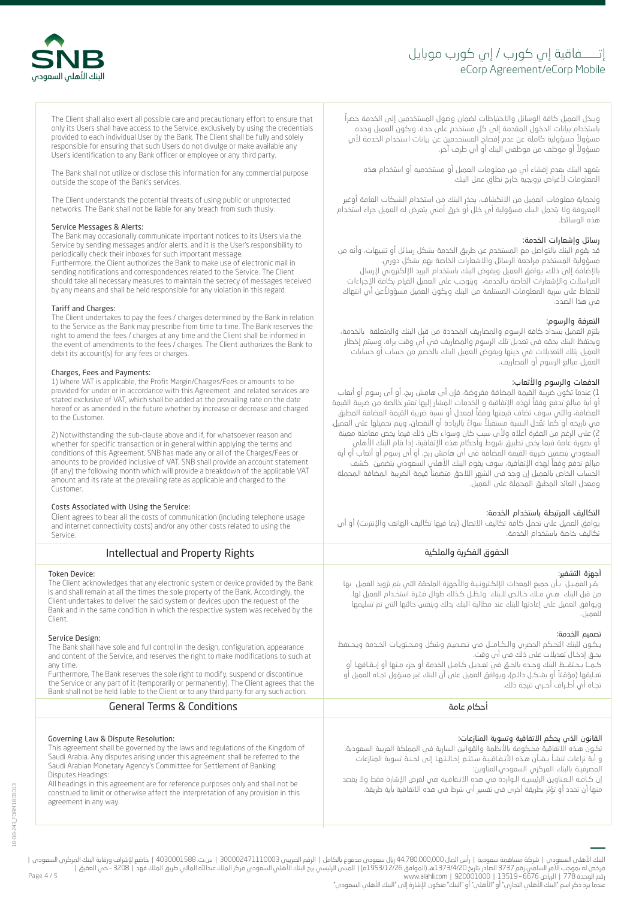# eCorp Agreement/eCorp Mobile إتــــــفاقية إي كورب موبايل



The Client shall also exert all possible care and precautionary effort to ensure that only its Users shall have access to the Service, exclusively by using the credentials provided to each individual User by the Bank. The Client shall be fully and solely responsible for ensuring that such Users do not divulge or make available any User's identification to any Bank officer or employee or any third party.

The Bank shall not utilize or disclose this information for any commercial purpose outside the scope of the Bank's services.

The Client understands the potential threats of using public or unprotected networks. The Bank shall not be liable for any breach from such thusly.

#### Service Messages & Alerts:

The Bank may occasionally communicate important notices to its Users via the Service by sending messages and/or alerts, and it is the User's responsibility to periodically check their inboxes for such important message.

Furthermore, the Client authorizes the Bank to make use of electronic mail in sending notifications and correspondences related to the Service. The Client should take all necessary measures to maintain the secrecy of messages received by any means and shall be held responsible for any violation in this regard.

#### Tariff and Charges:

The Client undertakes to pay the fees / charges determined by the Bank in relation to the Service as the Bank may prescribe from time to time. The Bank reserves the right to amend the fees / charges at any time and the Client shall be informed in the event of amendments to the fees / charges. The Client authorizes the Bank to debit its account(s) for any fees or charges.

#### Charges, Fees and Payments:

1) Where VAT is applicable, the Profit Margin/Charges/Fees or amounts to be provided for under or in accordance with this Agreement and related services are stated exclusive of VAT, which shall be added at the prevailing rate on the date hereof or as amended in the future whether by increase or decrease and charged to the Customer.

2) Notwithstanding the sub-clause above and if, for whatsoever reason and whether for specific transaction or in general within applying the terms and conditions of this Agreement, SNB has made any or all of the Charges/Fees or amounts to be provided inclusive of VAT, SNB shall provide an account statement (if any) the following month which will provide a breakdown of the applicable VAT amount and its rate at the prevailing rate as applicable and charged to the Customer.

#### Costs Associated with Using the Service:

Client agrees to bear all the costs of communication (including telephone usage and internet connectivity costs) and/or any other costs related to using the

| تكاليف خاصة باستخدام الخدمة.                                                                                                                                                                                                                                                                                                                                                                                                                                        | and internet connectivity costs) and/or any other costs related to using the                                                                                                                                                                                                                                                                                                                                                                                                    |
|---------------------------------------------------------------------------------------------------------------------------------------------------------------------------------------------------------------------------------------------------------------------------------------------------------------------------------------------------------------------------------------------------------------------------------------------------------------------|---------------------------------------------------------------------------------------------------------------------------------------------------------------------------------------------------------------------------------------------------------------------------------------------------------------------------------------------------------------------------------------------------------------------------------------------------------------------------------|
| الحقوق الفكربة والملكبة                                                                                                                                                                                                                                                                                                                                                                                                                                             | Intellectual and Property Rights                                                                                                                                                                                                                                                                                                                                                                                                                                                |
| أجمزة التشفير:<br>ايقـر العمـيـل ابأن جميع المعدات الإلكـترونـيـة والأجهزة الملحقة التى يتم تزويد العميل ابها<br>ويوافق العميل على إعادتها للبنك عند مطالبة البنك بخلك وبنفس حالتها التى تم تسليمها                                                                                                                                                                                                                                                                 | Token Device:<br>The Client acknowledges that any electronic system or device provided by the Bank<br>is and shall remain at all the times the sole property of the Bank. Accordingly, the<br>Client undertakes to deliver the said system or devices upon the request of the<br>Bank and in the same condition in which the respective system was received by the                                                                                                              |
| نصميم الخدمة:<br>يكـون للبنك التحـكم الحصرى والـكـامــل فى تـصـميـم وشكل ومـحـتويـات الخـدمة ويحـتفظ<br>بحـــق إدخــال تعديلات على ذلك فـي أبي وقت.<br>كـمــا يـحـتفــظ البنك وحـده بالحــق فـن تعـديـل كـامـل الخدمة أو جزء مـنـها أو إيـقـافهـا أو<br>نعـليقما (مؤقـتاً أو بشـكـل دائـم)، ويوافق العميل على أن البنك غير مسؤول تجـاه العميل أو<br>نجـاه أم، أطـراف أخـرم، نتيجة ذلك.                                                                              | Service Design:<br>The Bank shall have sole and full control in the design, configuration, appearance<br>and content of the Service, and reserves the right to make modifications to such at<br>Furthermore, The Bank reserves the sole right to modify, suspend or discontinue<br>the Service or any part of it (temporarily or permanently). The Client agrees that the<br>Bank shall not be held liable to the Client or to any third party for any such action.             |
| أحكام عامة                                                                                                                                                                                                                                                                                                                                                                                                                                                          | <b>General Terms &amp; Conditions</b>                                                                                                                                                                                                                                                                                                                                                                                                                                           |
| لقانون الذى يحكم الاتفاقية وتسوية المنازعات:<br>كــون هــذه الاتفاقية محــكومة بالأنظمة والقوانين السارية فـي المملكة العربية السعودية.<br>ء أية نزاعات تنشأ بشأن هـذه الأتـفـاقـيـة سـتتـم إحـالـتـهـا إلى لجـنـة تسوية المنازعات<br>لمصرفية بالبنك المركزي السعودي.العناوين:<br>ن كـافــة الــعـناوين الرئيسيــة الــواردة فــن هذه الاتــفاقــية هــن لغرض الإشارة فقط ولا يقصد<br>عنها أن تحدد أو تؤثر بطريقة أخرى فى تفسير أى شرط فى هذه الاتفاقية بأية طريقة. | Governing Law & Dispute Resolution:<br>This agreement shall be governed by the laws and regulations of the Kingdom of<br>Saudi Arabia. Any disputes arising under this agreement shall be referred to the<br>Saudi Arabian Monetary Agency's Committee for Settlement of Banking<br>Disputes.Headings:<br>All headings in this agreement are for reference purposes only and shall not be<br>construed to limit or otherwise affect the interpretation of any provision in this |

يتعهد البنك بعدم إفشاء أي من معلومات العميل أو مستخدميه أو استخدام هذه المعلومات لأغ�اض ت�ويجية خا�ج نطاق عمل البنك.

ولحماية معلومات العميل من الانكشاف، يحذر البنك من استخدام الشبكات العامة أوغير المعروفة ولا يتحمل البنك مسؤولية أب خلل أو خرق أمنى يتعرض له العميل جراء استخدام هذه الوسائط.

# رسائل وإشعارات الخدمة:

.<br>قد يقوم البنك بالتواصل مع المستخدم عن طريق الخدمة بشكل رسائل أو تنبيهات، وأنه من مسؤولية المستخدم مراجعة الرسائل والاشعارات الخاصة بهم بشكل دورى. بالإضافة إلى ذلك، يوافق العميل ويفوض البنك باستخدام البريد الإلكتروني لإرسال المراسلات والإشعارات الخاصة بـالخدمة، ويتوجب على العميل القيام بكافة الإجراءات للحفاظ على سرية المعلومات المستلمة من البنك ويكون العميل مسؤولاعن أب انتهاك في هذا الصدد.

# التعرفة والرسوم:

يلتزم العميل بسداد كافة الرسوم والمصاريف المحددة من قبل البنك والمتعلقة بالخدمة، ويحتفظ البنك بحقه في تعديل تلك الرسوم والمصاريف في أي وقت يراه، وسيتم إخطار العميل بتلك التعديلات في حينها ويفوض العميل البنك بالخصم من حساب أو حسابات العميل مبالغ الرسوم أو المصاريف.

# الدفعات والرسوم والأتعاب:

1) عندما تكون ضريبة القيمة المضافة مفروضة، فإن ام هامش ربح، او ام رسوم او اتماب ً أو أية مبالغ تدفع وفقا لهذه الإتفاقية و الخدمات المشار إليها تعتبر خالصة من ض��بة القيمة المضافة، والتي سوف تضاف قيمتها وفقاً لمعدل أو نسبة ضريبة القيمة المضافة المطبق في تاريخه او كما تقدل النسبة مستقبلا سواءً بالزيادة او النقصان، ويتم تحميلها على العميل. 2) على الرغم من الفقرة أعلاه ولأى سبب كان وسواء كان ذلك فيما يخص معاملة معينة أو بصورة عامة فيما يخص تطبيق شروط وأحكام هذه الإتفاقية، إذا قام البنك الأهلي السعودي بتضمين ضريبة القيمة المضافة فى أى هامش ربح، أو أى رسوم أو أتعاب أو أية ً مبالغ تدفع وفقا لهذه الإتفاقية، سوف يقوم البنك الأهلي السعودي بتضمين كشف ً الحساب الخاص بالعميل إن وجد فى الشهر اللاحق متضمنا قيمة الض��بة المضافة المحملة ومعدل العائد المطبق المحملة على العميل.

# التكاليف المرتبطة باستخدام الخدمة:

يوافق العميل على تحمل كافة تكاليف الاتصال (بما فيها تكاليف الهاتف والإنترنت) أو أي

agreement in any way.

Page 4 / 5 البنك الأملي السعودي | شركة مساهمة سعودية | رأس المال 44,780,000,000 إلكام المراس 300002471110003 | ست 4030001588 | خاضع لإشراف ورقابة البنك المركزي السعودي |<br>مرخص له بموجب الأمر السامي و1351/4720 [2001001] 1373/4276م] |